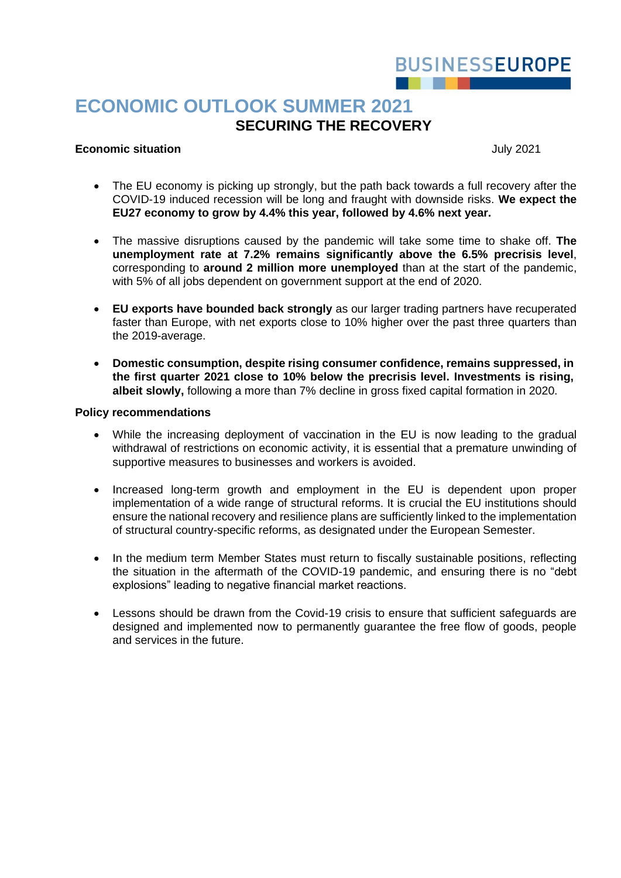

# **ECONOMIC OUTLOOK SUMMER 2021 SECURING THE RECOVERY**

#### **Economic situation** July 2021

- The EU economy is picking up strongly, but the path back towards a full recovery after the COVID-19 induced recession will be long and fraught with downside risks. **We expect the EU27 economy to grow by 4.4% this year, followed by 4.6% next year.**
- The massive disruptions caused by the pandemic will take some time to shake off. **The unemployment rate at 7.2% remains significantly above the 6.5% precrisis level**, corresponding to **around 2 million more unemployed** than at the start of the pandemic, with 5% of all jobs dependent on government support at the end of 2020.
- **EU exports have bounded back strongly** as our larger trading partners have recuperated faster than Europe, with net exports close to 10% higher over the past three quarters than the 2019-average.
- **Domestic consumption, despite rising consumer confidence, remains suppressed, in the first quarter 2021 close to 10% below the precrisis level. Investments is rising, albeit slowly,** following a more than 7% decline in gross fixed capital formation in 2020.

#### **Policy recommendations**

- While the increasing deployment of vaccination in the EU is now leading to the gradual withdrawal of restrictions on economic activity, it is essential that a premature unwinding of supportive measures to businesses and workers is avoided.
- Increased long-term growth and employment in the EU is dependent upon proper implementation of a wide range of structural reforms. It is crucial the EU institutions should ensure the national recovery and resilience plans are sufficiently linked to the implementation of structural country-specific reforms, as designated under the European Semester.
- In the medium term Member States must return to fiscally sustainable positions, reflecting the situation in the aftermath of the COVID-19 pandemic, and ensuring there is no "debt explosions" leading to negative financial market reactions.
- Lessons should be drawn from the Covid-19 crisis to ensure that sufficient safeguards are designed and implemented now to permanently guarantee the free flow of goods, people and services in the future.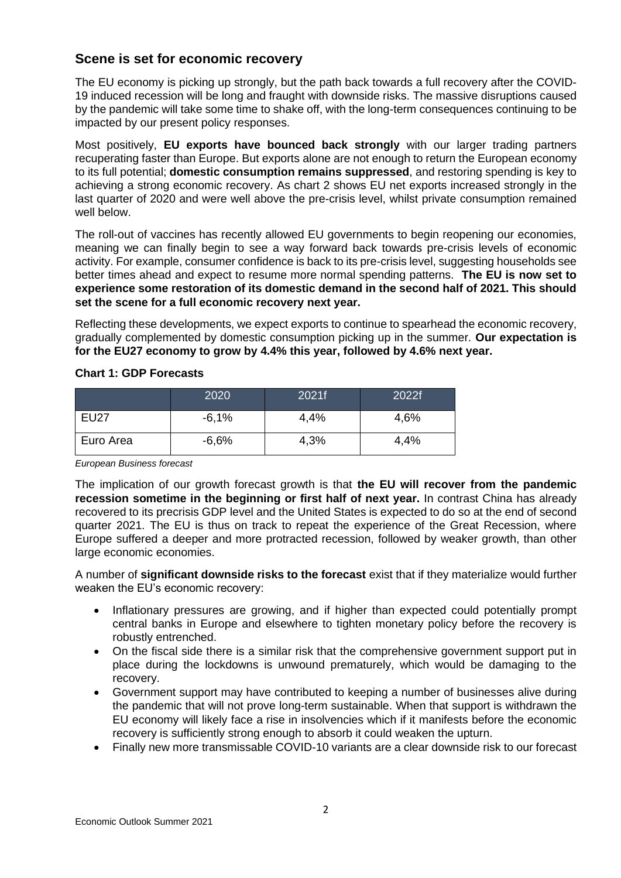# **Scene is set for economic recovery**

The EU economy is picking up strongly, but the path back towards a full recovery after the COVID-19 induced recession will be long and fraught with downside risks. The massive disruptions caused by the pandemic will take some time to shake off, with the long-term consequences continuing to be impacted by our present policy responses.

Most positively, **EU exports have bounced back strongly** with our larger trading partners recuperating faster than Europe. But exports alone are not enough to return the European economy to its full potential; **domestic consumption remains suppressed**, and restoring spending is key to achieving a strong economic recovery. As chart 2 shows EU net exports increased strongly in the last quarter of 2020 and were well above the pre-crisis level, whilst private consumption remained well below.

The roll-out of vaccines has recently allowed EU governments to begin reopening our economies, meaning we can finally begin to see a way forward back towards pre-crisis levels of economic activity. For example, consumer confidence is back to its pre-crisis level, suggesting households see better times ahead and expect to resume more normal spending patterns. **The EU is now set to experience some restoration of its domestic demand in the second half of 2021. This should set the scene for a full economic recovery next year.** 

Reflecting these developments, we expect exports to continue to spearhead the economic recovery, gradually complemented by domestic consumption picking up in the summer. **Our expectation is for the EU27 economy to grow by 4.4% this year, followed by 4.6% next year.**

### **Chart 1: GDP Forecasts**

|             | 2020    | 2021f | 2022f |
|-------------|---------|-------|-------|
| <b>EU27</b> | $-6,1%$ | 4,4%  | 4,6%  |
| Euro Area   | $-6,6%$ | 4,3%  | 4,4%  |

*European Business forecast*

The implication of our growth forecast growth is that **the EU will recover from the pandemic recession sometime in the beginning or first half of next year.** In contrast China has already recovered to its precrisis GDP level and the United States is expected to do so at the end of second quarter 2021. The EU is thus on track to repeat the experience of the Great Recession, where Europe suffered a deeper and more protracted recession, followed by weaker growth, than other large economic economies.

A number of **significant downside risks to the forecast** exist that if they materialize would further weaken the EU's economic recovery:

- Inflationary pressures are growing, and if higher than expected could potentially prompt central banks in Europe and elsewhere to tighten monetary policy before the recovery is robustly entrenched.
- On the fiscal side there is a similar risk that the comprehensive government support put in place during the lockdowns is unwound prematurely, which would be damaging to the recovery.
- Government support may have contributed to keeping a number of businesses alive during the pandemic that will not prove long-term sustainable. When that support is withdrawn the EU economy will likely face a rise in insolvencies which if it manifests before the economic recovery is sufficiently strong enough to absorb it could weaken the upturn.
- Finally new more transmissable COVID-10 variants are a clear downside risk to our forecast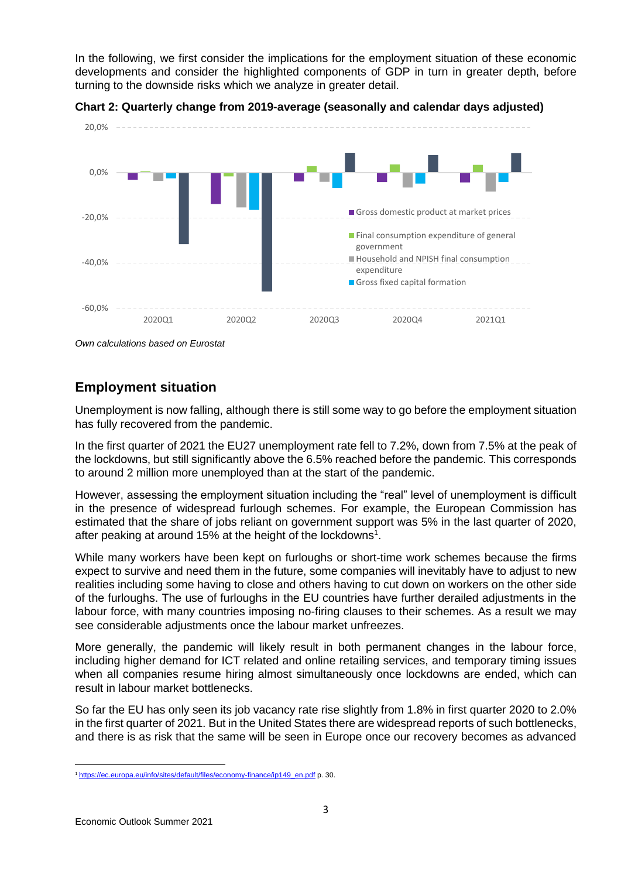In the following, we first consider the implications for the employment situation of these economic developments and consider the highlighted components of GDP in turn in greater depth, before turning to the downside risks which we analyze in greater detail.



**Chart 2: Quarterly change from 2019-average (seasonally and calendar days adjusted)**

*Own calculations based on Eurostat*

# **Employment situation**

Unemployment is now falling, although there is still some way to go before the employment situation has fully recovered from the pandemic.

In the first quarter of 2021 the EU27 unemployment rate fell to 7.2%, down from 7.5% at the peak of the lockdowns, but still significantly above the 6.5% reached before the pandemic. This corresponds to around 2 million more unemployed than at the start of the pandemic.

However, assessing the employment situation including the "real" level of unemployment is difficult in the presence of widespread furlough schemes. For example, the European Commission has estimated that the share of jobs reliant on government support was 5% in the last quarter of 2020, after peaking at around 15% at the height of the lockdowns<sup>1</sup>.

While many workers have been kept on furloughs or short-time work schemes because the firms expect to survive and need them in the future, some companies will inevitably have to adjust to new realities including some having to close and others having to cut down on workers on the other side of the furloughs. The use of furloughs in the EU countries have further derailed adjustments in the labour force, with many countries imposing no-firing clauses to their schemes. As a result we may see considerable adjustments once the labour market unfreezes.

More generally, the pandemic will likely result in both permanent changes in the labour force, including higher demand for ICT related and online retailing services, and temporary timing issues when all companies resume hiring almost simultaneously once lockdowns are ended, which can result in labour market bottlenecks.

So far the EU has only seen its job vacancy rate rise slightly from 1.8% in first quarter 2020 to 2.0% in the first quarter of 2021. But in the United States there are widespread reports of such bottlenecks, and there is as risk that the same will be seen in Europe once our recovery becomes as advanced

<sup>&</sup>lt;sup>1</sup> [https://ec.europa.eu/info/sites/default/files/economy-finance/ip149\\_en.pdf](https://ec.europa.eu/info/sites/default/files/economy-finance/ip149_en.pdf) p. 30.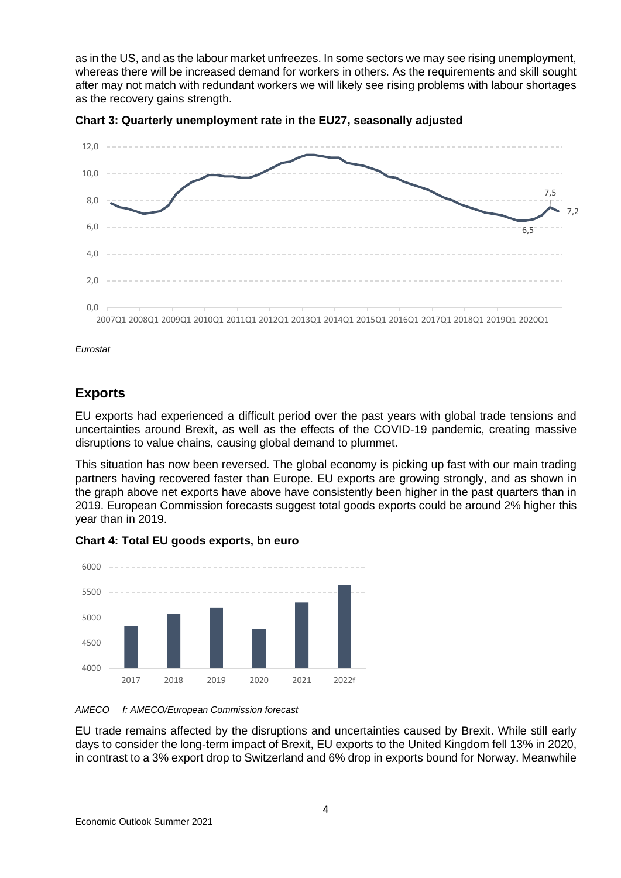as in the US, and as the labour market unfreezes. In some sectors we may see rising unemployment, whereas there will be increased demand for workers in others. As the requirements and skill sought after may not match with redundant workers we will likely see rising problems with labour shortages as the recovery gains strength.





*Eurostat*

# **Exports**

EU exports had experienced a difficult period over the past years with global trade tensions and uncertainties around Brexit, as well as the effects of the COVID-19 pandemic, creating massive disruptions to value chains, causing global demand to plummet.

This situation has now been reversed. The global economy is picking up fast with our main trading partners having recovered faster than Europe. EU exports are growing strongly, and as shown in the graph above net exports have above have consistently been higher in the past quarters than in 2019. European Commission forecasts suggest total goods exports could be around 2% higher this year than in 2019.



**Chart 4: Total EU goods exports, bn euro** 

*AMECO f: AMECO/European Commission forecast*

EU trade remains affected by the disruptions and uncertainties caused by Brexit. While still early days to consider the long-term impact of Brexit, EU exports to the United Kingdom fell 13% in 2020, in contrast to a 3% export drop to Switzerland and 6% drop in exports bound for Norway. Meanwhile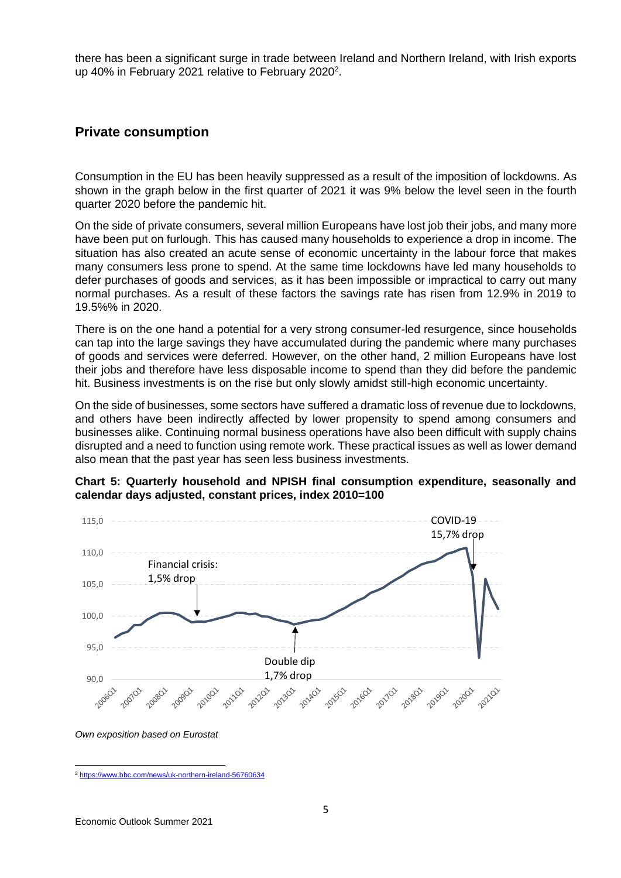there has been a significant surge in trade between Ireland and Northern Ireland, with Irish exports up 40% in February 2021 relative to February 2020<sup>2</sup>.

### **Private consumption**

Consumption in the EU has been heavily suppressed as a result of the imposition of lockdowns. As shown in the graph below in the first quarter of 2021 it was 9% below the level seen in the fourth quarter 2020 before the pandemic hit.

On the side of private consumers, several million Europeans have lost job their jobs, and many more have been put on furlough. This has caused many households to experience a drop in income. The situation has also created an acute sense of economic uncertainty in the labour force that makes many consumers less prone to spend. At the same time lockdowns have led many households to defer purchases of goods and services, as it has been impossible or impractical to carry out many normal purchases. As a result of these factors the savings rate has risen from 12.9% in 2019 to 19.5%% in 2020.

There is on the one hand a potential for a very strong consumer-led resurgence, since households can tap into the large savings they have accumulated during the pandemic where many purchases of goods and services were deferred. However, on the other hand, 2 million Europeans have lost their jobs and therefore have less disposable income to spend than they did before the pandemic hit. Business investments is on the rise but only slowly amidst still-high economic uncertainty.

On the side of businesses, some sectors have suffered a dramatic loss of revenue due to lockdowns, and others have been indirectly affected by lower propensity to spend among consumers and businesses alike. Continuing normal business operations have also been difficult with supply chains disrupted and a need to function using remote work. These practical issues as well as lower demand also mean that the past year has seen less business investments.





*Own exposition based on Eurostat* 

<sup>2</sup> <https://www.bbc.com/news/uk-northern-ireland-56760634>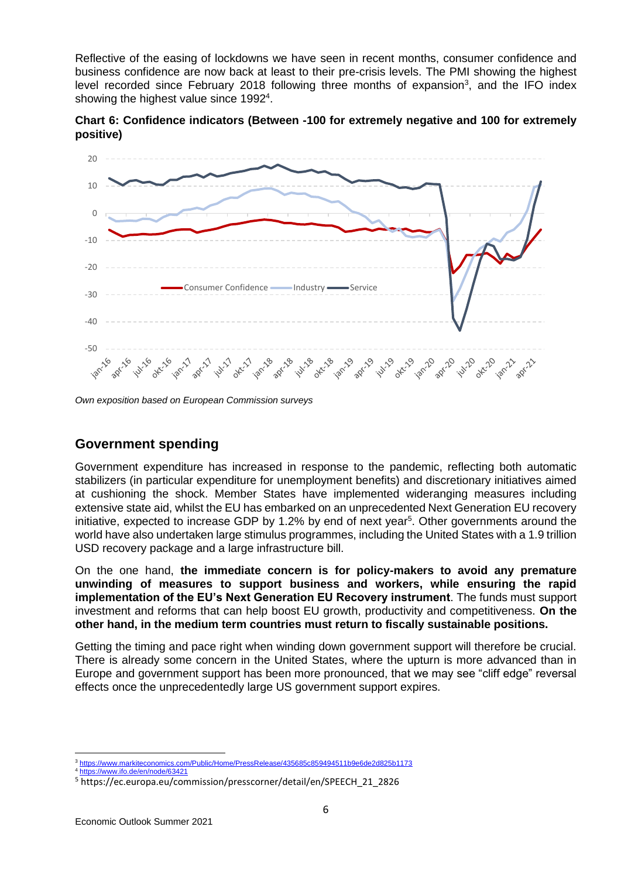Reflective of the easing of lockdowns we have seen in recent months, consumer confidence and business confidence are now back at least to their pre-crisis levels. The PMI showing the highest level recorded since February 2018 following three months of expansion<sup>3</sup>, and the IFO index showing the highest value since 1992<sup>4</sup>.

**Chart 6: Confidence indicators (Between -100 for extremely negative and 100 for extremely positive)**



*Own exposition based on European Commission surveys*

# **Government spending**

Government expenditure has increased in response to the pandemic, reflecting both automatic stabilizers (in particular expenditure for unemployment benefits) and discretionary initiatives aimed at cushioning the shock. Member States have implemented wideranging measures including extensive state aid, whilst the EU has embarked on an unprecedented Next Generation EU recovery initiative, expected to increase GDP by 1.2% by end of next year<sup>5</sup>. Other governments around the world have also undertaken large stimulus programmes, including the United States with a 1.9 trillion USD recovery package and a large infrastructure bill.

On the one hand, **the immediate concern is for policy-makers to avoid any premature unwinding of measures to support business and workers, while ensuring the rapid implementation of the EU's Next Generation EU Recovery instrument**. The funds must support investment and reforms that can help boost EU growth, productivity and competitiveness. **On the other hand, in the medium term countries must return to fiscally sustainable positions.** 

Getting the timing and pace right when winding down government support will therefore be crucial. There is already some concern in the United States, where the upturn is more advanced than in Europe and government support has been more pronounced, that we may see "cliff edge" reversal effects once the unprecedentedly large US government support expires.

<sup>3</sup> <https://www.markiteconomics.com/Public/Home/PressRelease/435685c859494511b9e6de2d825b1173>

<sup>4</sup> <https://www.ifo.de/en/node/63421>

<sup>5</sup> https://ec.europa.eu/commission/presscorner/detail/en/SPEECH\_21\_2826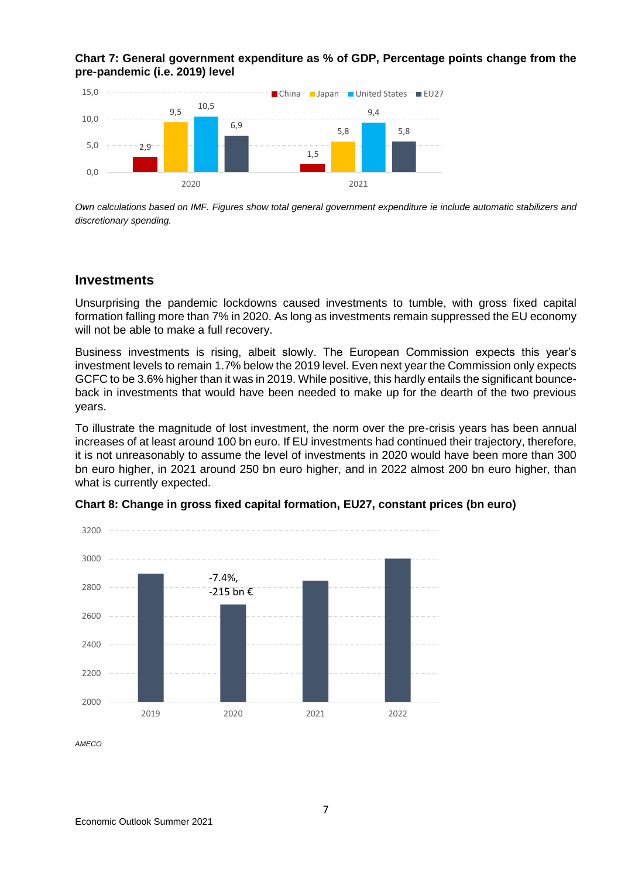#### **Chart 7: General government expenditure as % of GDP, Percentage points change from the pre-pandemic (i.e. 2019) level**



*Own calculations based on IMF. Figures show total general government expenditure ie include automatic stabilizers and discretionary spending.* 

### **Investments**

Unsurprising the pandemic lockdowns caused investments to tumble, with gross fixed capital formation falling more than 7% in 2020. As long as investments remain suppressed the EU economy will not be able to make a full recovery.

Business investments is rising, albeit slowly. The European Commission expects this year's investment levels to remain 1.7% below the 2019 level. Even next year the Commission only expects GCFC to be 3.6% higher than it was in 2019. While positive, this hardly entails the significant bounceback in investments that would have been needed to make up for the dearth of the two previous years.

To illustrate the magnitude of lost investment, the norm over the pre-crisis years has been annual increases of at least around 100 bn euro. If EU investments had continued their trajectory, therefore, it is not unreasonably to assume the level of investments in 2020 would have been more than 300 bn euro higher, in 2021 around 250 bn euro higher, and in 2022 almost 200 bn euro higher, than what is currently expected.



**Chart 8: Change in gross fixed capital formation, EU27, constant prices (bn euro)**

*AMECO*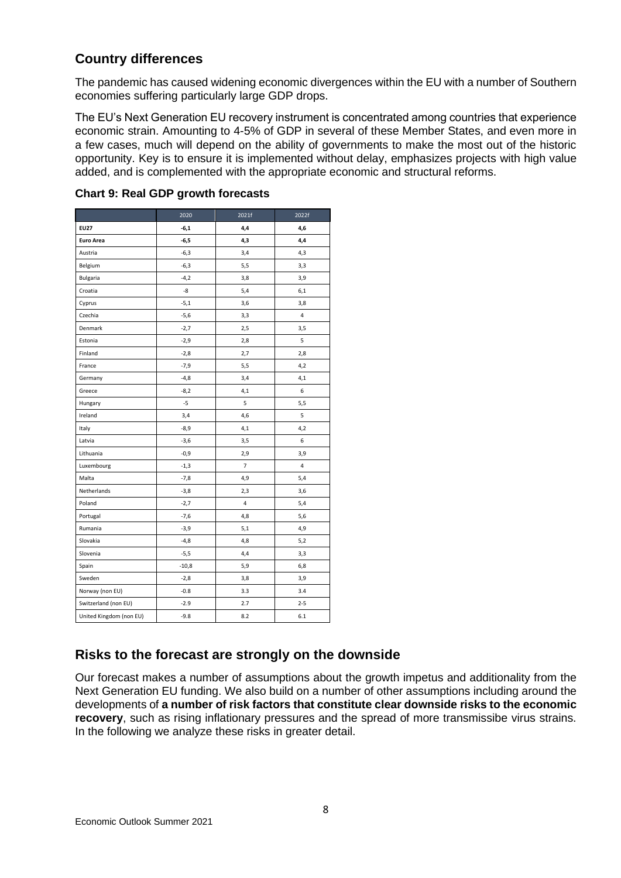# **Country differences**

The pandemic has caused widening economic divergences within the EU with a number of Southern economies suffering particularly large GDP drops.

The EU's Next Generation EU recovery instrument is concentrated among countries that experience economic strain. Amounting to 4-5% of GDP in several of these Member States, and even more in a few cases, much will depend on the ability of governments to make the most out of the historic opportunity. Key is to ensure it is implemented without delay, emphasizes projects with high value added, and is complemented with the appropriate economic and structural reforms.

|                         | 2020    | 2021f | 2022f   |  |
|-------------------------|---------|-------|---------|--|
| <b>EU27</b>             | $-6,1$  | 4,4   | 4,6     |  |
| <b>Euro Area</b>        | $-6,5$  | 4,3   | 4,4     |  |
| Austria                 | $-6,3$  | 3,4   | 4,3     |  |
| Belgium                 | $-6,3$  | 5,5   | 3,3     |  |
| Bulgaria                | $-4,2$  | 3,8   | 3,9     |  |
| Croatia                 | -8      | 5,4   | 6,1     |  |
| Cyprus                  | $-5,1$  | 3,6   | 3,8     |  |
| Czechia                 | $-5,6$  | 3,3   | 4       |  |
| Denmark                 | $-2,7$  | 2,5   | 3,5     |  |
| Estonia                 | $-2,9$  | 2,8   | 5       |  |
| Finland                 | $-2,8$  | 2,7   | 2,8     |  |
| France                  | -7,9    | 5,5   | 4,2     |  |
| Germany                 | $-4,8$  | 3,4   | 4,1     |  |
| Greece                  | $-8,2$  | 4,1   | 6       |  |
| Hungary                 | -5      | 5     | 5,5     |  |
| Ireland                 | 3,4     | 4,6   | 5       |  |
| Italy                   | $-8,9$  | 4,1   | 4,2     |  |
| Latvia                  | $-3,6$  | 3,5   | 6       |  |
| Lithuania               | $-0,9$  | 2,9   | 3,9     |  |
| Luxembourg              | $-1,3$  | 7     | 4       |  |
| Malta                   | $-7,8$  | 4,9   | 5,4     |  |
| Netherlands             | $-3,8$  | 2,3   | 3,6     |  |
| Poland                  | $-2,7$  | 4     | 5,4     |  |
| Portugal                | $-7,6$  | 4,8   | 5,6     |  |
| Rumania                 | $-3,9$  | 5,1   | 4,9     |  |
| Slovakia                | $-4,8$  | 4,8   | 5,2     |  |
| Slovenia                | $-5,5$  | 4,4   | 3,3     |  |
| Spain                   | $-10,8$ | 5,9   | 6,8     |  |
| Sweden                  | $-2,8$  | 3,8   | 3,9     |  |
| Norway (non EU)         | $-0.8$  | 3.3   | 3.4     |  |
| Switzerland (non EU)    | $-2.9$  | 2.7   | $2 - 5$ |  |
| United Kingdom (non EU) | $-9.8$  | 8.2   | 6.1     |  |

#### **Chart 9: Real GDP growth forecasts**

## **Risks to the forecast are strongly on the downside**

Our forecast makes a number of assumptions about the growth impetus and additionality from the Next Generation EU funding. We also build on a number of other assumptions including around the developments of **a number of risk factors that constitute clear downside risks to the economic recovery**, such as rising inflationary pressures and the spread of more transmissibe virus strains. In the following we analyze these risks in greater detail.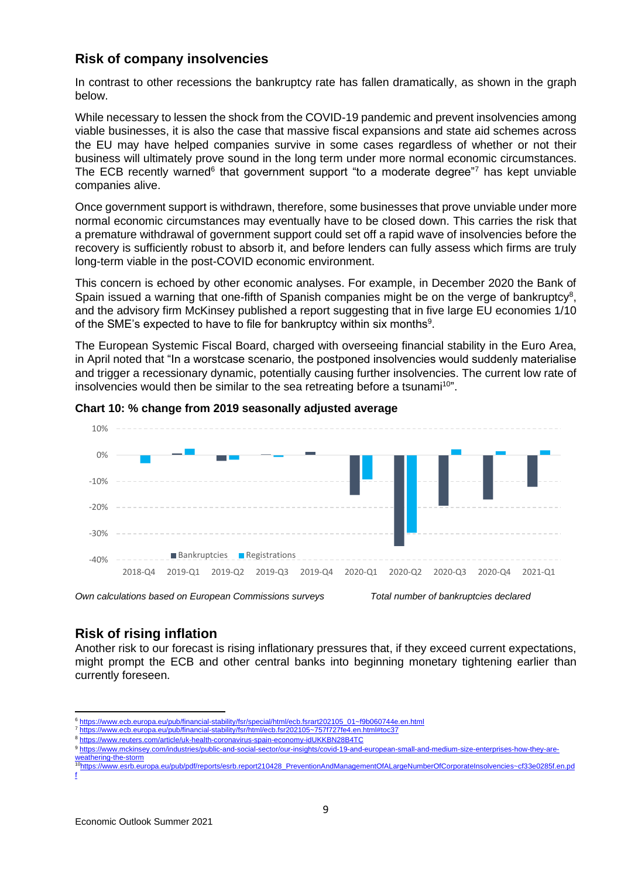### **Risk of company insolvencies**

In contrast to other recessions the bankruptcy rate has fallen dramatically, as shown in the graph below.

While necessary to lessen the shock from the COVID-19 pandemic and prevent insolvencies among viable businesses, it is also the case that massive fiscal expansions and state aid schemes across the EU may have helped companies survive in some cases regardless of whether or not their business will ultimately prove sound in the long term under more normal economic circumstances. The ECB recently warned<sup>6</sup> that government support "to a moderate degree"<sup>7</sup> has kept unviable companies alive.

Once government support is withdrawn, therefore, some businesses that prove unviable under more normal economic circumstances may eventually have to be closed down. This carries the risk that a premature withdrawal of government support could set off a rapid wave of insolvencies before the recovery is sufficiently robust to absorb it, and before lenders can fully assess which firms are truly long-term viable in the post-COVID economic environment.

This concern is echoed by other economic analyses. For example, in December 2020 the Bank of Spain issued a warning that one-fifth of Spanish companies might be on the verge of bankruptcy<sup>8</sup>, and the advisory firm McKinsey published a report suggesting that in five large EU economies 1/10 of the SME's expected to have to file for bankruptcy within six months<sup>9</sup>.

The European Systemic Fiscal Board, charged with overseeing financial stability in the Euro Area, in April noted that "In a worstcase scenario, the postponed insolvencies would suddenly materialise and trigger a recessionary dynamic, potentially causing further insolvencies. The current low rate of insolvencies would then be similar to the sea retreating before a tsunami<sup>10</sup>".



#### **Chart 10: % change from 2019 seasonally adjusted average**

*Own calculations based on European Commissions surveys Total number of bankruptcies declared* 

## **Risk of rising inflation**

Another risk to our forecast is rising inflationary pressures that, if they exceed current expectations, might prompt the ECB and other central banks into beginning monetary tightening earlier than currently foreseen.

<sup>6</sup> [https://www.ecb.europa.eu/pub/financial-stability/fsr/special/html/ecb.fsrart202105\\_01~f9b060744e.en.html](https://www.ecb.europa.eu/pub/financial-stability/fsr/special/html/ecb.fsrart202105_01~f9b060744e.en.html)

<sup>7</sup> <https://www.ecb.europa.eu/pub/financial-stability/fsr/html/ecb.fsr202105~757f727fe4.en.html#toc37>

<sup>8</sup> <https://www.reuters.com/article/uk-health-coronavirus-spain-economy-idUKKBN28B4TC>

<sup>9</sup> [https://www.mckinsey.com/industries/public-and-social-sector/our-insights/covid-19-and-european-small-and-medium-size-enterprises-how-they-are](https://www.mckinsey.com/industries/public-and-social-sector/our-insights/covid-19-and-european-small-and-medium-size-enterprises-how-they-are-weathering-the-storm)[weathering-the-storm](https://www.mckinsey.com/industries/public-and-social-sector/our-insights/covid-19-and-european-small-and-medium-size-enterprises-how-they-are-weathering-the-storm)

<sup>10</sup>[https://www.esrb.europa.eu/pub/pdf/reports/esrb.report210428\\_PreventionAndManagementOfALargeNumberOfCorporateInsolvencies~cf33e0285f.en.pd](https://www.esrb.europa.eu/pub/pdf/reports/esrb.report210428_PreventionAndManagementOfALargeNumberOfCorporateInsolvencies~cf33e0285f.en.pdf) [f](https://www.esrb.europa.eu/pub/pdf/reports/esrb.report210428_PreventionAndManagementOfALargeNumberOfCorporateInsolvencies~cf33e0285f.en.pdf)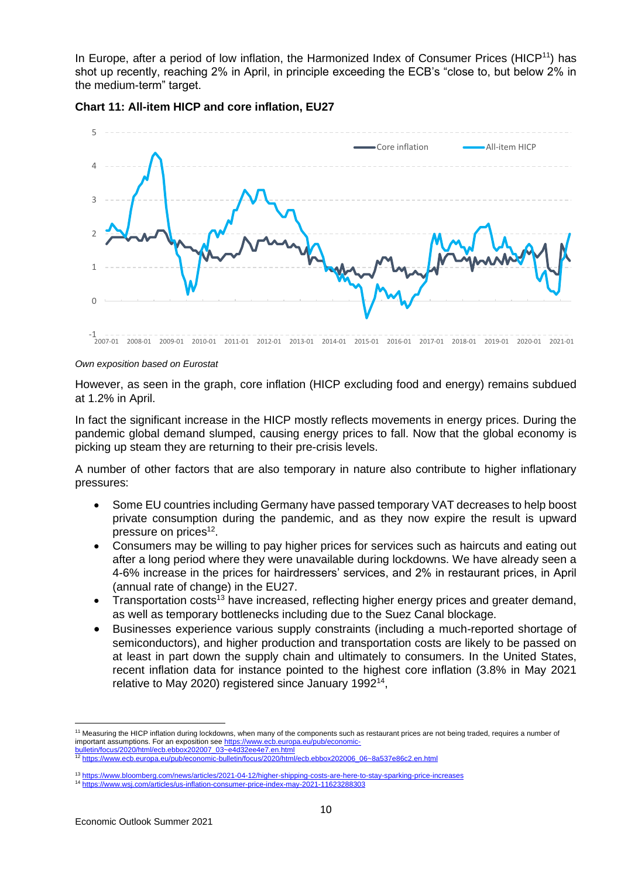In Europe, after a period of low inflation, the Harmonized Index of Consumer Prices (HICP<sup>11</sup>) has shot up recently, reaching 2% in April, in principle exceeding the ECB's "close to, but below 2% in the medium-term" target.



#### **Chart 11: All-item HICP and core inflation, EU27**

#### *Own exposition based on Eurostat*

However, as seen in the graph, core inflation (HICP excluding food and energy) remains subdued at 1.2% in April.

In fact the significant increase in the HICP mostly reflects movements in energy prices. During the pandemic global demand slumped, causing energy prices to fall. Now that the global economy is picking up steam they are returning to their pre-crisis levels.

A number of other factors that are also temporary in nature also contribute to higher inflationary pressures:

- Some EU countries including Germany have passed temporary VAT decreases to help boost private consumption during the pandemic, and as they now expire the result is upward pressure on prices<sup>12</sup>.
- Consumers may be willing to pay higher prices for services such as haircuts and eating out after a long period where they were unavailable during lockdowns. We have already seen a 4-6% increase in the prices for hairdressers' services, and 2% in restaurant prices, in April (annual rate of change) in the EU27.
- Transportation costs<sup>13</sup> have increased, reflecting higher energy prices and greater demand, as well as temporary bottlenecks including due to the Suez Canal blockage.
- Businesses experience various supply constraints (including a much-reported shortage of semiconductors), and higher production and transportation costs are likely to be passed on at least in part down the supply chain and ultimately to consumers. In the United States, recent inflation data for instance pointed to the highest core inflation (3.8% in May 2021 relative to May 2020) registered since January 1992<sup>14</sup>,

<sup>11</sup> Measuring the HICP inflation during lockdowns, when many of the components such as restaurant prices are not being traded, requires a number of important assumptions. For an exposition see https://www.ecb.europa.eu/pub/economic

[bulletin/focus/2020/html/ecb.ebbox202007\\_03~e4d32ee4e7.en.html](https://www.ecb.europa.eu/pub/economic-bulletin/focus/2020/html/ecb.ebbox202007_03~e4d32ee4e7.en.html) <sup>12</sup> [https://www.ecb.europa.eu/pub/economic-bulletin/focus/2020/html/ecb.ebbox202006\\_06~8a537e86c2.en.html](https://www.ecb.europa.eu/pub/economic-bulletin/focus/2020/html/ecb.ebbox202006_06~8a537e86c2.en.html)

<sup>13</sup> <https://www.bloomberg.com/news/articles/2021-04-12/higher-shipping-costs-are-here-to-stay-sparking-price-increases><br>14 https://www.wsi.com/articles/us-inflation-consumer-price-index-may-2021-11623288303

nter/<br>-consumer-price-index-may-2021-11623288303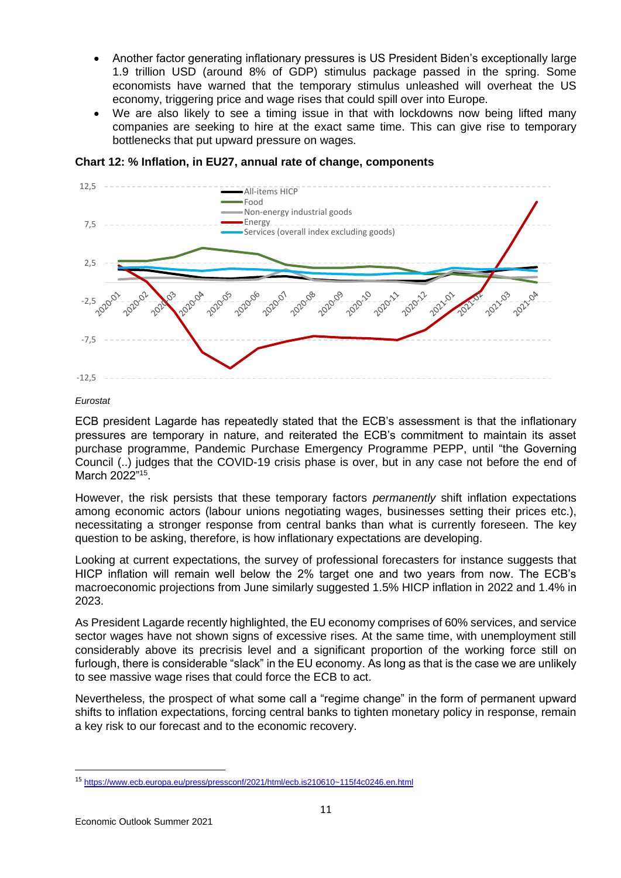- Another factor generating inflationary pressures is US President Biden's exceptionally large 1.9 trillion USD (around 8% of GDP) stimulus package passed in the spring. Some economists have warned that the temporary stimulus unleashed will overheat the US economy, triggering price and wage rises that could spill over into Europe.
- We are also likely to see a timing issue in that with lockdowns now being lifted many companies are seeking to hire at the exact same time. This can give rise to temporary bottlenecks that put upward pressure on wages.



**Chart 12: % Inflation, in EU27, annual rate of change, components**

#### *Eurostat*

ECB president Lagarde has repeatedly stated that the ECB's assessment is that the inflationary pressures are temporary in nature, and reiterated the ECB's commitment to maintain its asset purchase programme, Pandemic Purchase Emergency Programme PEPP, until "the Governing Council (..) judges that the COVID-19 crisis phase is over, but in any case not before the end of March 2022"<sup>15</sup>.

However, the risk persists that these temporary factors *permanently* shift inflation expectations among economic actors (labour unions negotiating wages, businesses setting their prices etc.), necessitating a stronger response from central banks than what is currently foreseen. The key question to be asking, therefore, is how inflationary expectations are developing.

Looking at current expectations, the survey of professional forecasters for instance suggests that HICP inflation will remain well below the 2% target one and two years from now. The ECB's macroeconomic projections from June similarly suggested 1.5% HICP inflation in 2022 and 1.4% in 2023.

As President Lagarde recently highlighted, the EU economy comprises of 60% services, and service sector wages have not shown signs of excessive rises. At the same time, with unemployment still considerably above its precrisis level and a significant proportion of the working force still on furlough, there is considerable "slack" in the EU economy. As long as that is the case we are unlikely to see massive wage rises that could force the ECB to act.

Nevertheless, the prospect of what some call a "regime change" in the form of permanent upward shifts to inflation expectations, forcing central banks to tighten monetary policy in response, remain a key risk to our forecast and to the economic recovery.

<sup>15</sup> <https://www.ecb.europa.eu/press/pressconf/2021/html/ecb.is210610~115f4c0246.en.html>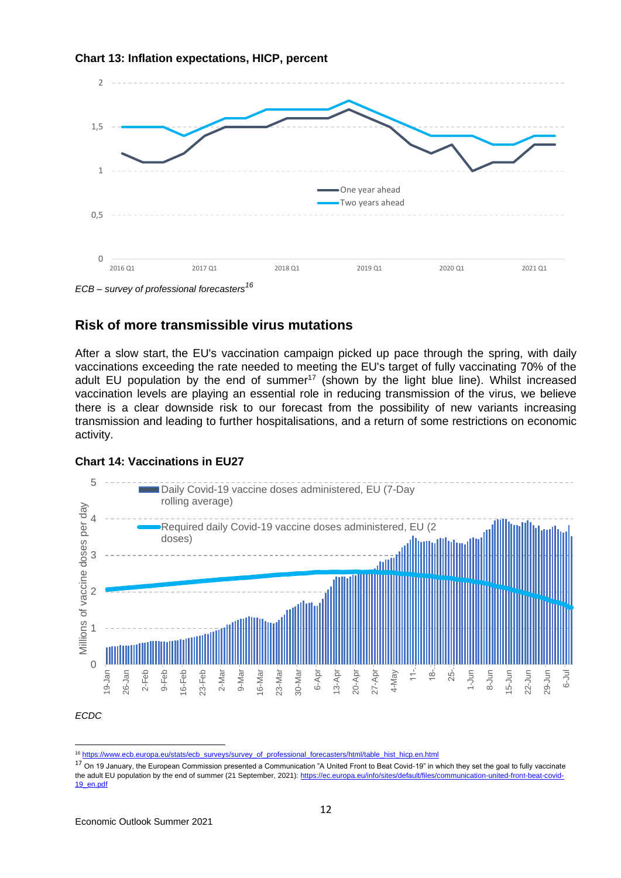





## **Risk of more transmissible virus mutations**

After a slow start, the EU's vaccination campaign picked up pace through the spring, with daily vaccinations exceeding the rate needed to meeting the EU's target of fully vaccinating 70% of the adult EU population by the end of summer<sup>17</sup> (shown by the light blue line). Whilst increased vaccination levels are playing an essential role in reducing transmission of the virus, we believe there is a clear downside risk to our forecast from the possibility of new variants increasing transmission and leading to further hospitalisations, and a return of some restrictions on economic activity.



#### **Chart 14: Vaccinations in EU27**

professional forecasters/html/table hist hicp.en.html

<sup>&</sup>lt;sup>17</sup> On 19 January, the European Commission presented a Communication "A United Front to Beat Covid-19" in which they set the goal to fully vaccinate the adult EU population by the end of summer (21 September, 2021)[: https://ec.europa.eu/info/sites/default/files/communication-united-front-beat-covid-](https://ec.europa.eu/info/sites/default/files/communication-united-front-beat-covid-19_en.pdf)[19\\_en.pdf](https://ec.europa.eu/info/sites/default/files/communication-united-front-beat-covid-19_en.pdf)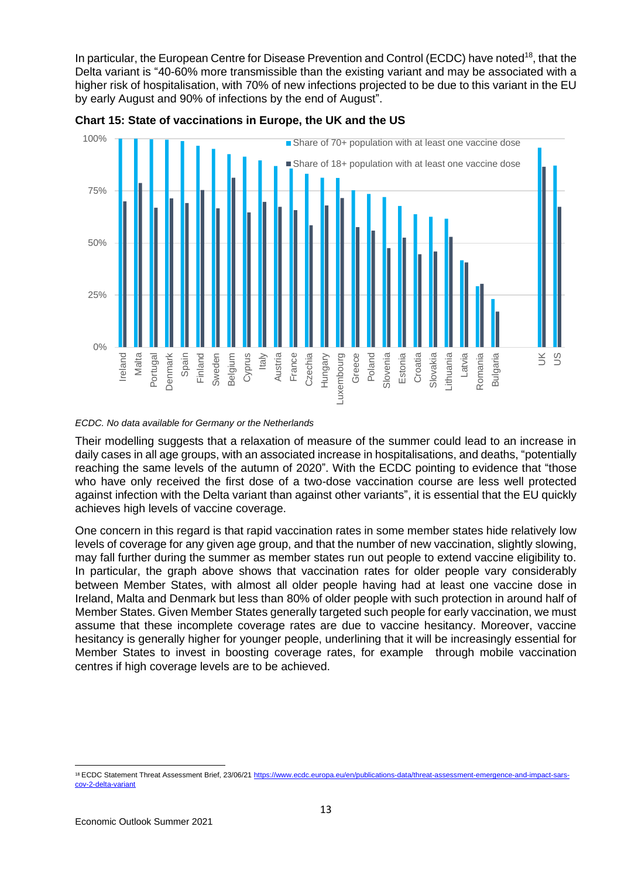In particular, the European Centre for Disease Prevention and Control (ECDC) have noted<sup>18</sup>, that the Delta variant is "40-60% more transmissible than the existing variant and may be associated with a higher risk of hospitalisation, with 70% of new infections projected to be due to this variant in the EU by early August and 90% of infections by the end of August".



**Chart 15: State of vaccinations in Europe, the UK and the US**

#### *ECDC. No data available for Germany or the Netherlands*

Their modelling suggests that a relaxation of measure of the summer could lead to an increase in daily cases in all age groups, with an associated increase in hospitalisations, and deaths, "potentially reaching the same levels of the autumn of 2020". With the ECDC pointing to evidence that "those who have only received the first dose of a two-dose vaccination course are less well protected against infection with the Delta variant than against other variants", it is essential that the EU quickly achieves high levels of vaccine coverage.

One concern in this regard is that rapid vaccination rates in some member states hide relatively low levels of coverage for any given age group, and that the number of new vaccination, slightly slowing, may fall further during the summer as member states run out people to extend vaccine eligibility to. In particular, the graph above shows that vaccination rates for older people vary considerably between Member States, with almost all older people having had at least one vaccine dose in Ireland, Malta and Denmark but less than 80% of older people with such protection in around half of Member States. Given Member States generally targeted such people for early vaccination, we must assume that these incomplete coverage rates are due to vaccine hesitancy. Moreover, vaccine hesitancy is generally higher for younger people, underlining that it will be increasingly essential for Member States to invest in boosting coverage rates, for example through mobile vaccination centres if high coverage levels are to be achieved.

<sup>18</sup> ECDC Statement Threat Assessment Brief, 23/06/21 [https://www.ecdc.europa.eu/en/publications-data/threat-assessment-emergence-and-impact-sars](https://www.ecdc.europa.eu/en/publications-data/threat-assessment-emergence-and-impact-sars-cov-2-delta-variant)[cov-2-delta-variant](https://www.ecdc.europa.eu/en/publications-data/threat-assessment-emergence-and-impact-sars-cov-2-delta-variant)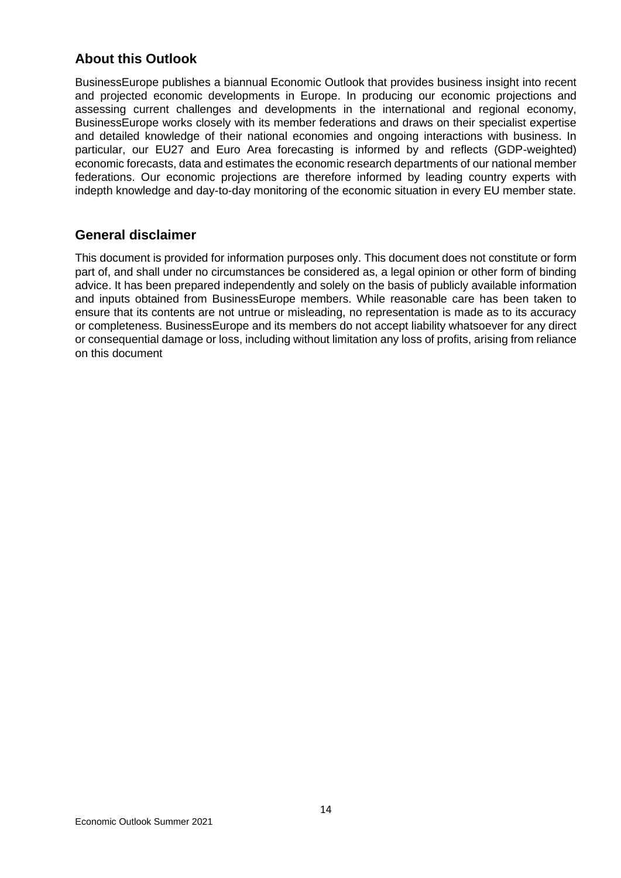# **About this Outlook**

BusinessEurope publishes a biannual Economic Outlook that provides business insight into recent and projected economic developments in Europe. In producing our economic projections and assessing current challenges and developments in the international and regional economy, BusinessEurope works closely with its member federations and draws on their specialist expertise and detailed knowledge of their national economies and ongoing interactions with business. In particular, our EU27 and Euro Area forecasting is informed by and reflects (GDP-weighted) economic forecasts, data and estimates the economic research departments of our national member federations. Our economic projections are therefore informed by leading country experts with indepth knowledge and day-to-day monitoring of the economic situation in every EU member state.

## **General disclaimer**

This document is provided for information purposes only. This document does not constitute or form part of, and shall under no circumstances be considered as, a legal opinion or other form of binding advice. It has been prepared independently and solely on the basis of publicly available information and inputs obtained from BusinessEurope members. While reasonable care has been taken to ensure that its contents are not untrue or misleading, no representation is made as to its accuracy or completeness. BusinessEurope and its members do not accept liability whatsoever for any direct or consequential damage or loss, including without limitation any loss of profits, arising from reliance on this document